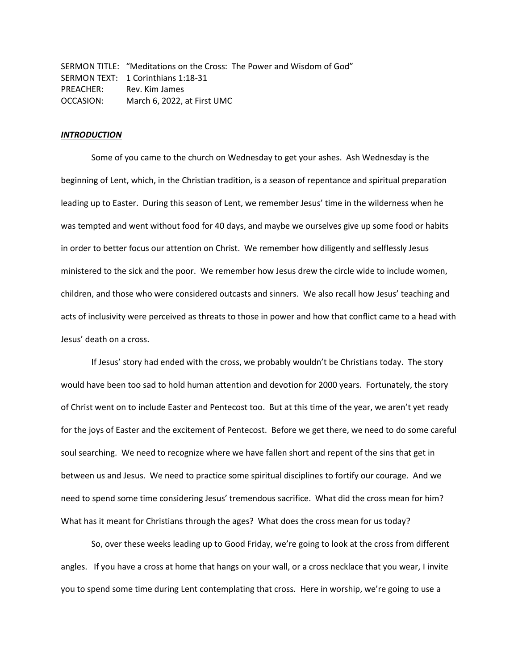SERMON TITLE: "Meditations on the Cross: The Power and Wisdom of God" SERMON TEXT: 1 Corinthians 1:18-31 PREACHER: Rev. Kim James OCCASION: March 6, 2022, at First UMC

### *INTRODUCTION*

Some of you came to the church on Wednesday to get your ashes. Ash Wednesday is the beginning of Lent, which, in the Christian tradition, is a season of repentance and spiritual preparation leading up to Easter. During this season of Lent, we remember Jesus' time in the wilderness when he was tempted and went without food for 40 days, and maybe we ourselves give up some food or habits in order to better focus our attention on Christ. We remember how diligently and selflessly Jesus ministered to the sick and the poor. We remember how Jesus drew the circle wide to include women, children, and those who were considered outcasts and sinners. We also recall how Jesus' teaching and acts of inclusivity were perceived as threats to those in power and how that conflict came to a head with Jesus' death on a cross.

If Jesus' story had ended with the cross, we probably wouldn't be Christians today. The story would have been too sad to hold human attention and devotion for 2000 years. Fortunately, the story of Christ went on to include Easter and Pentecost too. But at this time of the year, we aren't yet ready for the joys of Easter and the excitement of Pentecost. Before we get there, we need to do some careful soul searching. We need to recognize where we have fallen short and repent of the sins that get in between us and Jesus. We need to practice some spiritual disciplines to fortify our courage. And we need to spend some time considering Jesus' tremendous sacrifice. What did the cross mean for him? What has it meant for Christians through the ages? What does the cross mean for us today?

So, over these weeks leading up to Good Friday, we're going to look at the cross from different angles. If you have a cross at home that hangs on your wall, or a cross necklace that you wear, I invite you to spend some time during Lent contemplating that cross. Here in worship, we're going to use a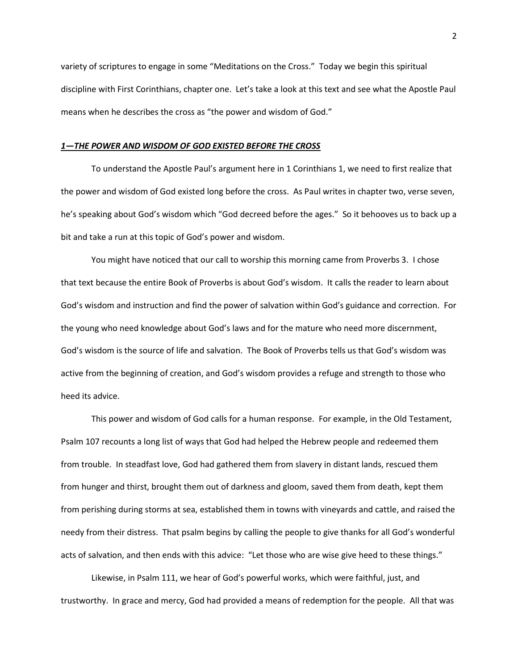variety of scriptures to engage in some "Meditations on the Cross." Today we begin this spiritual discipline with First Corinthians, chapter one. Let's take a look at this text and see what the Apostle Paul means when he describes the cross as "the power and wisdom of God."

#### *1—THE POWER AND WISDOM OF GOD EXISTED BEFORE THE CROSS*

To understand the Apostle Paul's argument here in 1 Corinthians 1, we need to first realize that the power and wisdom of God existed long before the cross. As Paul writes in chapter two, verse seven, he's speaking about God's wisdom which "God decreed before the ages." So it behooves us to back up a bit and take a run at this topic of God's power and wisdom.

You might have noticed that our call to worship this morning came from Proverbs 3. I chose that text because the entire Book of Proverbs is about God's wisdom. It calls the reader to learn about God's wisdom and instruction and find the power of salvation within God's guidance and correction. For the young who need knowledge about God's laws and for the mature who need more discernment, God's wisdom is the source of life and salvation. The Book of Proverbs tells us that God's wisdom was active from the beginning of creation, and God's wisdom provides a refuge and strength to those who heed its advice.

This power and wisdom of God calls for a human response. For example, in the Old Testament, Psalm 107 recounts a long list of ways that God had helped the Hebrew people and redeemed them from trouble. In steadfast love, God had gathered them from slavery in distant lands, rescued them from hunger and thirst, brought them out of darkness and gloom, saved them from death, kept them from perishing during storms at sea, established them in towns with vineyards and cattle, and raised the needy from their distress. That psalm begins by calling the people to give thanks for all God's wonderful acts of salvation, and then ends with this advice: "Let those who are wise give heed to these things."

Likewise, in Psalm 111, we hear of God's powerful works, which were faithful, just, and trustworthy. In grace and mercy, God had provided a means of redemption for the people. All that was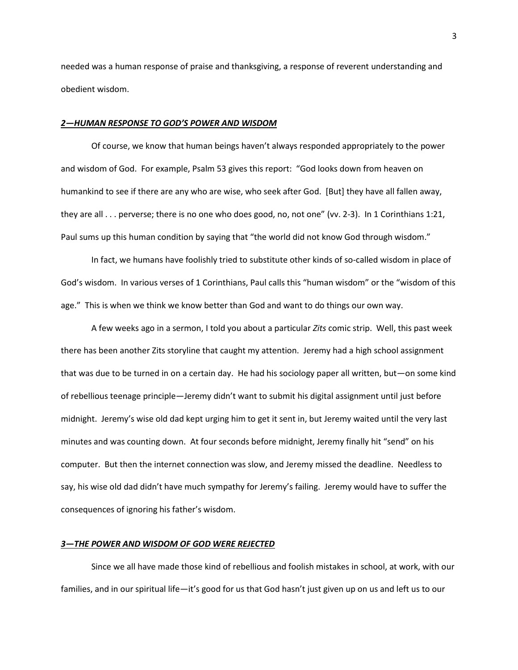needed was a human response of praise and thanksgiving, a response of reverent understanding and obedient wisdom.

### *2—HUMAN RESPONSE TO GOD'S POWER AND WISDOM*

Of course, we know that human beings haven't always responded appropriately to the power and wisdom of God. For example, Psalm 53 gives this report: "God looks down from heaven on humankind to see if there are any who are wise, who seek after God. [But] they have all fallen away, they are all . . . perverse; there is no one who does good, no, not one" (vv. 2-3). In 1 Corinthians 1:21, Paul sums up this human condition by saying that "the world did not know God through wisdom."

In fact, we humans have foolishly tried to substitute other kinds of so-called wisdom in place of God's wisdom. In various verses of 1 Corinthians, Paul calls this "human wisdom" or the "wisdom of this age." This is when we think we know better than God and want to do things our own way.

A few weeks ago in a sermon, I told you about a particular *Zits* comic strip. Well, this past week there has been another Zits storyline that caught my attention. Jeremy had a high school assignment that was due to be turned in on a certain day. He had his sociology paper all written, but—on some kind of rebellious teenage principle—Jeremy didn't want to submit his digital assignment until just before midnight. Jeremy's wise old dad kept urging him to get it sent in, but Jeremy waited until the very last minutes and was counting down. At four seconds before midnight, Jeremy finally hit "send" on his computer. But then the internet connection was slow, and Jeremy missed the deadline. Needless to say, his wise old dad didn't have much sympathy for Jeremy's failing. Jeremy would have to suffer the consequences of ignoring his father's wisdom.

## *3—THE POWER AND WISDOM OF GOD WERE REJECTED*

Since we all have made those kind of rebellious and foolish mistakes in school, at work, with our families, and in our spiritual life—it's good for us that God hasn't just given up on us and left us to our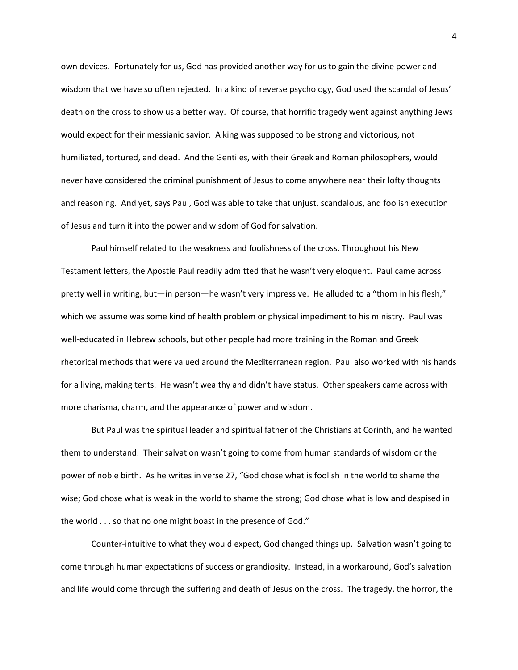own devices. Fortunately for us, God has provided another way for us to gain the divine power and wisdom that we have so often rejected. In a kind of reverse psychology, God used the scandal of Jesus' death on the cross to show us a better way. Of course, that horrific tragedy went against anything Jews would expect for their messianic savior. A king was supposed to be strong and victorious, not humiliated, tortured, and dead. And the Gentiles, with their Greek and Roman philosophers, would never have considered the criminal punishment of Jesus to come anywhere near their lofty thoughts and reasoning. And yet, says Paul, God was able to take that unjust, scandalous, and foolish execution of Jesus and turn it into the power and wisdom of God for salvation.

Paul himself related to the weakness and foolishness of the cross. Throughout his New Testament letters, the Apostle Paul readily admitted that he wasn't very eloquent. Paul came across pretty well in writing, but—in person—he wasn't very impressive. He alluded to a "thorn in his flesh," which we assume was some kind of health problem or physical impediment to his ministry. Paul was well-educated in Hebrew schools, but other people had more training in the Roman and Greek rhetorical methods that were valued around the Mediterranean region. Paul also worked with his hands for a living, making tents. He wasn't wealthy and didn't have status. Other speakers came across with more charisma, charm, and the appearance of power and wisdom.

But Paul was the spiritual leader and spiritual father of the Christians at Corinth, and he wanted them to understand. Their salvation wasn't going to come from human standards of wisdom or the power of noble birth. As he writes in verse 27, "God chose what is foolish in the world to shame the wise; God chose what is weak in the world to shame the strong; God chose what is low and despised in the world . . . so that no one might boast in the presence of God."

Counter-intuitive to what they would expect, God changed things up. Salvation wasn't going to come through human expectations of success or grandiosity. Instead, in a workaround, God's salvation and life would come through the suffering and death of Jesus on the cross. The tragedy, the horror, the